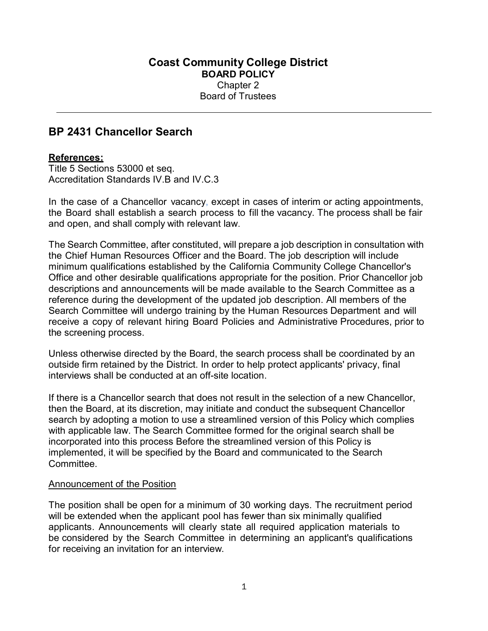## BP 2431 Chancellor Search

## References:

Title 5 Sections 53000 et seq. Accreditation Standards IV.B and IV.C.3

In the case of a Chancellor vacancy, except in cases of interim or acting appointments, the Board shall establish a search process to fill the vacancy. The process shall be fair and open, and shall comply with relevant law.

The Search Committee, after constituted, will prepare a job description in consultation with the Chief Human Resources Officer and the Board. The job description will include minimum qualifications established by the California Community College Chancellor's Office and other desirable qualifications appropriate for the position. Prior Chancellor job descriptions and announcements will be made available to the Search Committee as a reference during the development of the updated job description. All members of the Search Committee will undergo training by the Human Resources Department and will receive a copy of relevant hiring Board Policies and Administrative Procedures, prior to the screening process.

Unless otherwise directed by the Board, the search process shall be coordinated by an outside firm retained by the District. In order to help protect applicants' privacy, final interviews shall be conducted at an off-site location.

If there is a Chancellor search that does not result in the selection of a new Chancellor, then the Board, at its discretion, may initiate and conduct the subsequent Chancellor search by adopting a motion to use a streamlined version of this Policy which complies with applicable law. The Search Committee formed for the original search shall be incorporated into this process Before the streamlined version of this Policy is implemented, it will be specified by the Board and communicated to the Search **Committee** 

## Announcement of the Position

The position shall be open for a minimum of 30 working days. The recruitment period will be extended when the applicant pool has fewer than six minimally qualified applicants. Announcements will clearly state all required application materials to be considered by the Search Committee in determining an applicant's qualifications for receiving an invitation for an interview.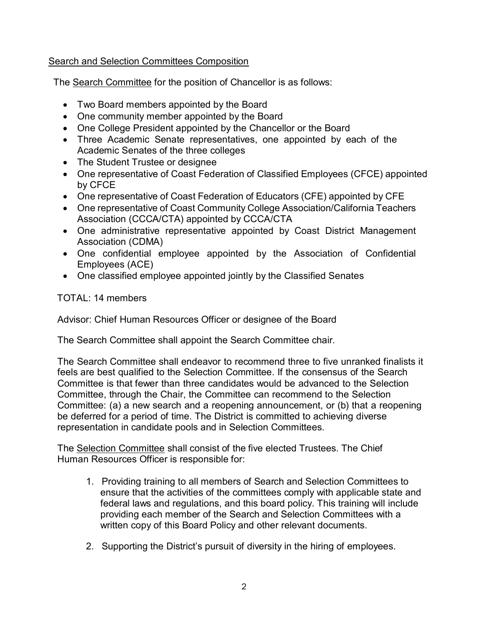## Search and Selection Committees Composition

The Search Committee for the position of Chancellor is as follows:

- Two Board members appointed by the Board
- One community member appointed by the Board
- One College President appointed by the Chancellor or the Board
- Three Academic Senate representatives, one appointed by each of the Academic Senates of the three colleges
- The Student Trustee or designee
- One representative of Coast Federation of Classified Employees (CFCE) appointed by CFCE
- One representative of Coast Federation of Educators (CFE) appointed by CFE
- One representative of Coast Community College Association/California Teachers Association (CCCA/CTA) appointed by CCCA/CTA
- One administrative representative appointed by Coast District Management Association (CDMA)
- One confidential employee appointed by the Association of Confidential Employees (ACE)
- One classified employee appointed jointly by the Classified Senates

TOTAL: 14 members

Advisor: Chief Human Resources Officer or designee of the Board

The Search Committee shall appoint the Search Committee chair.

The Search Committee shall endeavor to recommend three to five unranked finalists it feels are best qualified to the Selection Committee. If the consensus of the Search Committee is that fewer than three candidates would be advanced to the Selection Committee, through the Chair, the Committee can recommend to the Selection Committee: (a) a new search and a reopening announcement, or (b) that a reopening be deferred for a period of time. The District is committed to achieving diverse representation in candidate pools and in Selection Committees.

The Selection Committee shall consist of the five elected Trustees. The Chief Human Resources Officer is responsible for:

- 1. Providing training to all members of Search and Selection Committees to ensure that the activities of the committees comply with applicable state and federal laws and regulations, and this board policy. This training will include providing each member of the Search and Selection Committees with a written copy of this Board Policy and other relevant documents.
- 2. Supporting the District's pursuit of diversity in the hiring of employees.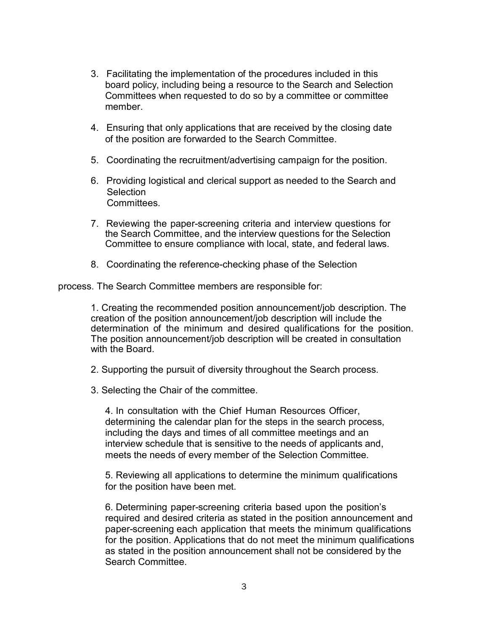- 3. Facilitating the implementation of the procedures included in this board policy, including being a resource to the Search and Selection Committees when requested to do so by a committee or committee member.
- 4. Ensuring that only applications that are received by the closing date of the position are forwarded to the Search Committee.
- 5. Coordinating the recruitment/advertising campaign for the position.
- 6. Providing logistical and clerical support as needed to the Search and **Selection** Committees.
- 7. Reviewing the paper-screening criteria and interview questions for the Search Committee, and the interview questions for the Selection Committee to ensure compliance with local, state, and federal laws.
- 8. Coordinating the reference-checking phase of the Selection

process. The Search Committee members are responsible for:

1. Creating the recommended position announcement/job description. The creation of the position announcement/job description will include the determination of the minimum and desired qualifications for the position. The position announcement/job description will be created in consultation with the Board.

- 2. Supporting the pursuit of diversity throughout the Search process.
- 3. Selecting the Chair of the committee.

4. In consultation with the Chief Human Resources Officer, determining the calendar plan for the steps in the search process, including the days and times of all committee meetings and an interview schedule that is sensitive to the needs of applicants and, meets the needs of every member of the Selection Committee.

5. Reviewing all applications to determine the minimum qualifications for the position have been met.

6. Determining paper-screening criteria based upon the position's required and desired criteria as stated in the position announcement and paper-screening each application that meets the minimum qualifications for the position. Applications that do not meet the minimum qualifications as stated in the position announcement shall not be considered by the Search Committee.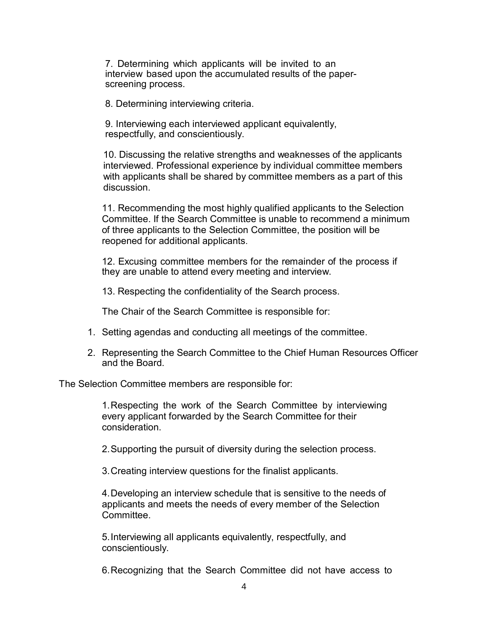7. Determining which applicants will be invited to an interview based upon the accumulated results of the paperscreening process.

8. Determining interviewing criteria.

9. Interviewing each interviewed applicant equivalently, respectfully, and conscientiously.

10. Discussing the relative strengths and weaknesses of the applicants interviewed. Professional experience by individual committee members with applicants shall be shared by committee members as a part of this discussion.

11. Recommending the most highly qualified applicants to the Selection Committee. If the Search Committee is unable to recommend a minimum of three applicants to the Selection Committee, the position will be reopened for additional applicants.

12. Excusing committee members for the remainder of the process if they are unable to attend every meeting and interview.

13. Respecting the confidentiality of the Search process.

The Chair of the Search Committee is responsible for:

- 1. Setting agendas and conducting all meetings of the committee.
- 2. Representing the Search Committee to the Chief Human Resources Officer and the Board.

The Selection Committee members are responsible for:

1. Respecting the work of the Search Committee by interviewing every applicant forwarded by the Search Committee for their consideration.

2. Supporting the pursuit of diversity during the selection process.

3. Creating interview questions for the finalist applicants.

4. Developing an interview schedule that is sensitive to the needs of applicants and meets the needs of every member of the Selection Committee.

5. Interviewing all applicants equivalently, respectfully, and conscientiously.

6. Recognizing that the Search Committee did not have access to